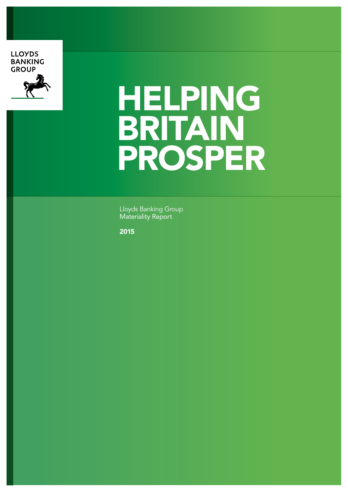#### **LLOYDS BANKING GROUP**



# HELPING BRITAIN PROSPER

Lloyds Banking Group Materiality Report

2015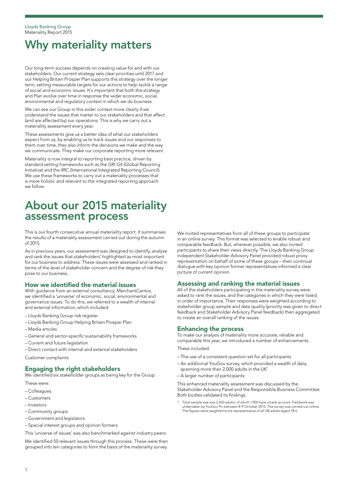# Why materiality matters

Our long-term success depends on creating value for and with our stakeholders. Our current strategy sets clear priorities until 2017 and our Helping Britain Prosper Plan supports this strategy over the longer term, setting measurable targets for our actions to help tackle a range of social and economic issues. It's important that both the strategy and Plan evolve over time in response the wider economic, social, environmental and regulatory context in which we do business.

We can see our Group in this wider context more clearly if we understand the issues that matter to our stakeholders and that affect (and are affected by) our operations. This is why we carry out a materiality assessment every year.

These assessments give us a better idea of what our stakeholders expect from us; by enabling us to track issues and our responses to them over time, they also inform the decisions we make and the way we communicate. They make our corporate reporting more relevant.

Materiality is now integral to reporting best practice, driven by standard setting frameworks such as the GRI G4 (Global Reporting Initiative) and the IIRC (International Integrated Reporting Council). We use these frameworks to carry out a materiality processes that is more holistic and relevant to the integrated reporting approach we follow.

## About our 2015 materiality assessment process

This is our fourth consecutive annual materiality report. It summarises the results of a materiality assessment carried out during the autumn of 2015.

As in previous years, our assessment was designed to identify, analyse and rank the issues that stakeholders' highlighted as most important for our business to address. These issues were assessed and ranked in terms of the level of stakeholder concern and the degree of risk they pose to our business.

#### How we identified the material issues

With guidance from an external consultancy, MerchantCantos, we identified a 'universe' of economic, social, environmental and governance issues. To do this, we referred to a wealth of internal and external information, which included:

- Lloyds Banking Group risk register
- Lloyds Banking Group Helping Britain Prosper Plan
- Media articles
- General and sector-specific sustainability frameworks
- Current and future legislation
- Direct contact with internal and external stakeholders

Customer complaints

#### Engaging the right stakeholders

We identified six stakeholder groups as being key for the Group. These were:

- Colleagues
- Customers
- Investors
- Community groups
- Government and legislators
- Special interest groups and opinion formers

This 'universe of issues' was also benchmarked against industry peers.

We identified 50 relevant issues through this process. These were then grouped into ten categories to form the basis of the materiality survey.

We invited representatives from all of these groups to participate in an online survey. This format was selected to enable robust and comparable feedback. But, wherever possible, we also invited participants to share their views directly. The Lloyds Banking Group independent Stakeholder Advisory Panel provided robust proxy representation on behalf of some of these groups – their continual dialogue with key opinion former representatives informed a clear picture of current opinion.

#### Assessing and ranking the material issues

All of the stakeholders participating in the materiality survey were asked to rank the issues, and the categories in which they were listed, in order of importance. Their responses were weighted according to stakeholder group sample and data quality (priority was given to direct feedback and Stakeholder Advisory Panel feedback) then aggregated to create an overall ranking of the issues.

#### Enhancing the process

To make our analysis of materiality more accurate, reliable and comparable this year, we introduced a number of enhancements.

- These included:
- The use of a consistent question set for all participants
- An additional YouGov survey, which provided a wealth of data,
- spanning more than 2,000 adults in the UK<sup>1</sup>
- A larger number of participants

This enhanced materiality assessment was discussed by the Stakeholder Advisory Panel and the Responsible Business Committee. Both bodies validated its findings.

1 Total sample size was 2,030 adults, of which 1,950 have a bank account. Fieldwork was undertaken by YouGov Plc between 8-9 October 2015. The survey was carried out online. The figures were weighted to be representative of all GB adults (aged 18+).